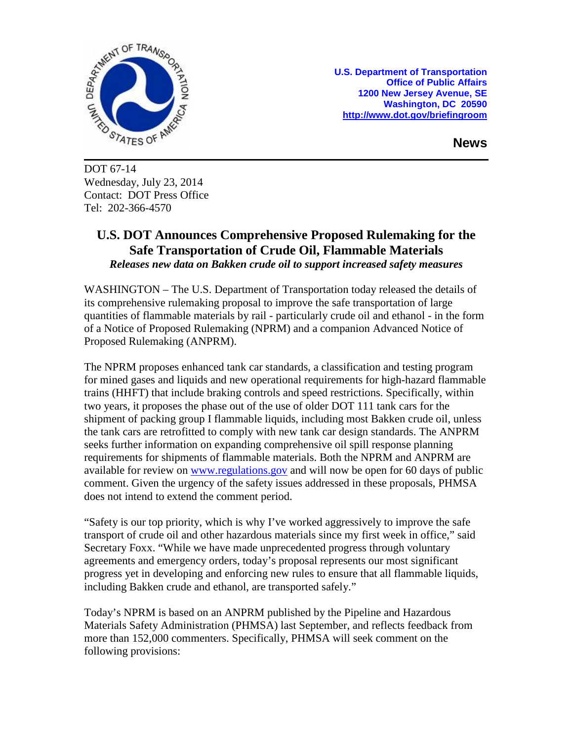

**U.S. Department of Transportation Office of Public Affairs 1200 New Jersey Avenue, SE Washington, DC 20590 <http://www.dot.gov/briefingroom>**

**News**

DOT 67-14 Wednesday, July 23, 2014 Contact: DOT Press Office Tel: 202-366-4570

## **U.S. DOT Announces Comprehensive Proposed Rulemaking for the Safe Transportation of Crude Oil, Flammable Materials** *Releases new data on Bakken crude oil to support increased safety measures*

WASHINGTON – The U.S. Department of Transportation today released the details of its comprehensive rulemaking proposal to improve the safe transportation of large quantities of flammable materials by rail - particularly crude oil and ethanol - in the form of a Notice of Proposed Rulemaking (NPRM) and a companion Advanced Notice of Proposed Rulemaking (ANPRM).

The NPRM proposes enhanced tank car standards, a classification and testing program for mined gases and liquids and new operational requirements for high-hazard flammable trains (HHFT) that include braking controls and speed restrictions. Specifically, within two years, it proposes the phase out of the use of older DOT 111 tank cars for the shipment of packing group I flammable liquids, including most Bakken crude oil, unless the tank cars are retrofitted to comply with new tank car design standards. The ANPRM seeks further information on expanding comprehensive oil spill response planning requirements for shipments of flammable materials. Both the NPRM and ANPRM are available for review on [www.regulations.gov](http://www.regulations.gov/) and will now be open for 60 days of public comment. Given the urgency of the safety issues addressed in these proposals, PHMSA does not intend to extend the comment period.

"Safety is our top priority, which is why I've worked aggressively to improve the safe transport of crude oil and other hazardous materials since my first week in office," said Secretary Foxx. "While we have made unprecedented progress through voluntary agreements and emergency orders, today's proposal represents our most significant progress yet in developing and enforcing new rules to ensure that all flammable liquids, including Bakken crude and ethanol, are transported safely."

Today's NPRM is based on an ANPRM published by the Pipeline and Hazardous Materials Safety Administration (PHMSA) last September, and reflects feedback from more than 152,000 commenters. Specifically, PHMSA will seek comment on the following provisions: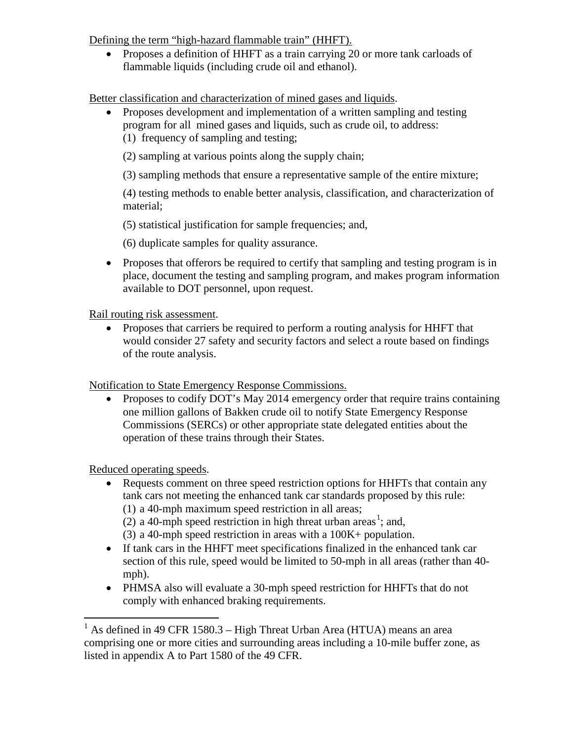Defining the term "high-hazard flammable train" (HHFT).

• Proposes a definition of HHFT as a train carrying 20 or more tank carloads of flammable liquids (including crude oil and ethanol).

Better classification and characterization of mined gases and liquids.

• Proposes development and implementation of a written sampling and testing program for all mined gases and liquids, such as crude oil, to address: (1) frequency of sampling and testing;

(2) sampling at various points along the supply chain;

(3) sampling methods that ensure a representative sample of the entire mixture;

(4) testing methods to enable better analysis, classification, and characterization of material;

(5) statistical justification for sample frequencies; and,

(6) duplicate samples for quality assurance.

• Proposes that offerors be required to certify that sampling and testing program is in place, document the testing and sampling program, and makes program information available to DOT personnel, upon request.

## Rail routing risk assessment.

• Proposes that carriers be required to perform a routing analysis for HHFT that would consider 27 safety and security factors and select a route based on findings of the route analysis.

Notification to State Emergency Response Commissions.

• Proposes to codify DOT's May 2014 emergency order that require trains containing one million gallons of Bakken crude oil to notify State Emergency Response Commissions (SERCs) or other appropriate state delegated entities about the operation of these trains through their States.

Reduced operating speeds.

- Requests comment on three speed restriction options for HHFTs that contain any tank cars not meeting the enhanced tank car standards proposed by this rule: (1) a 40-mph maximum speed restriction in all areas;
	- (2) a 40-mph speed restriction in high threat urban areas<sup>[1](#page-1-0)</sup>; and,
	- (3) a 40-mph speed restriction in areas with a 100K+ population.
- If tank cars in the HHFT meet specifications finalized in the enhanced tank car section of this rule, speed would be limited to 50-mph in all areas (rather than 40 mph).
- PHMSA also will evaluate a 30-mph speed restriction for HHFTs that do not comply with enhanced braking requirements.

<span id="page-1-0"></span> $1$  As defined in 49 CFR 1580.3 – High Threat Urban Area (HTUA) means an area comprising one or more cities and surrounding areas including a 10-mile buffer zone, as listed in appendix A to Part 1580 of the 49 CFR.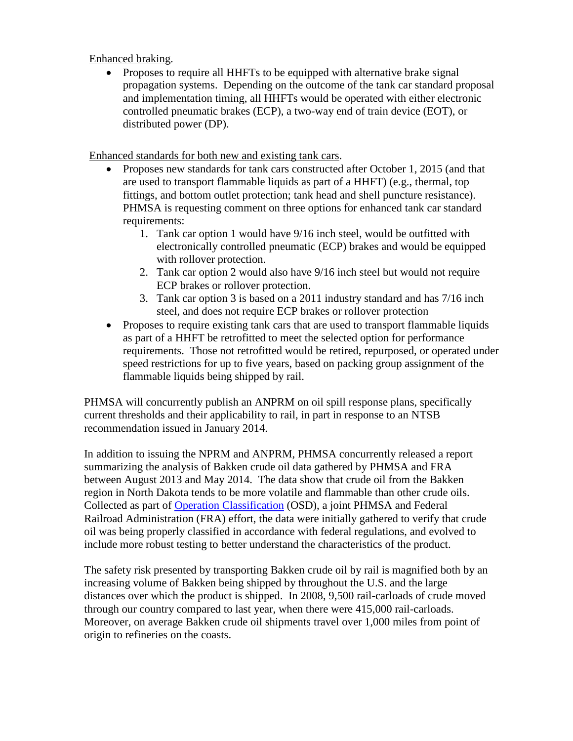Enhanced braking.

• Proposes to require all HHFTs to be equipped with alternative brake signal propagation systems. Depending on the outcome of the tank car standard proposal and implementation timing, all HHFTs would be operated with either electronic controlled pneumatic brakes (ECP), a two-way end of train device (EOT), or distributed power (DP).

Enhanced standards for both new and existing tank cars.

- Proposes new standards for tank cars constructed after October 1, 2015 (and that are used to transport flammable liquids as part of a HHFT) (e.g., thermal, top fittings, and bottom outlet protection; tank head and shell puncture resistance). PHMSA is requesting comment on three options for enhanced tank car standard requirements:
	- 1. Tank car option 1 would have 9/16 inch steel, would be outfitted with electronically controlled pneumatic (ECP) brakes and would be equipped with rollover protection.
	- 2. Tank car option 2 would also have 9/16 inch steel but would not require ECP brakes or rollover protection.
	- 3. Tank car option 3 is based on a 2011 industry standard and has 7/16 inch steel, and does not require ECP brakes or rollover protection
- Proposes to require existing tank cars that are used to transport flammable liquids as part of a HHFT be retrofitted to meet the selected option for performance requirements. Those not retrofitted would be retired, repurposed, or operated under speed restrictions for up to five years, based on packing group assignment of the flammable liquids being shipped by rail.

PHMSA will concurrently publish an ANPRM on oil spill response plans, specifically current thresholds and their applicability to rail, in part in response to an NTSB recommendation issued in January 2014.

In addition to issuing the NPRM and ANPRM, PHMSA concurrently released a report summarizing the analysis of Bakken crude oil data gathered by PHMSA and FRA between August 2013 and May 2014. The data show that crude oil from the Bakken region in North Dakota tends to be more volatile and flammable than other crude oils. Collected as part of [Operation Classification](http://www.phmsa.dot.gov/portal/site/PHMSA/menuitem.6f23687cf7b00b0f22e4c6962d9c8789/?vgnextoid=4821ec1c60f23410VgnVCM100000d2c97898RCRD&vgnextchannel=d248724dd7d6c010VgnVCM10000080e8a8c0RCRD&vgnextfmt=print) (OSD), a joint PHMSA and Federal Railroad Administration (FRA) effort, the data were initially gathered to verify that crude oil was being properly classified in accordance with federal regulations, and evolved to include more robust testing to better understand the characteristics of the product.

The safety risk presented by transporting Bakken crude oil by rail is magnified both by an increasing volume of Bakken being shipped by throughout the U.S. and the large distances over which the product is shipped. In 2008, 9,500 rail-carloads of crude moved through our country compared to last year, when there were 415,000 rail-carloads. Moreover, on average Bakken crude oil shipments travel over 1,000 miles from point of origin to refineries on the coasts.